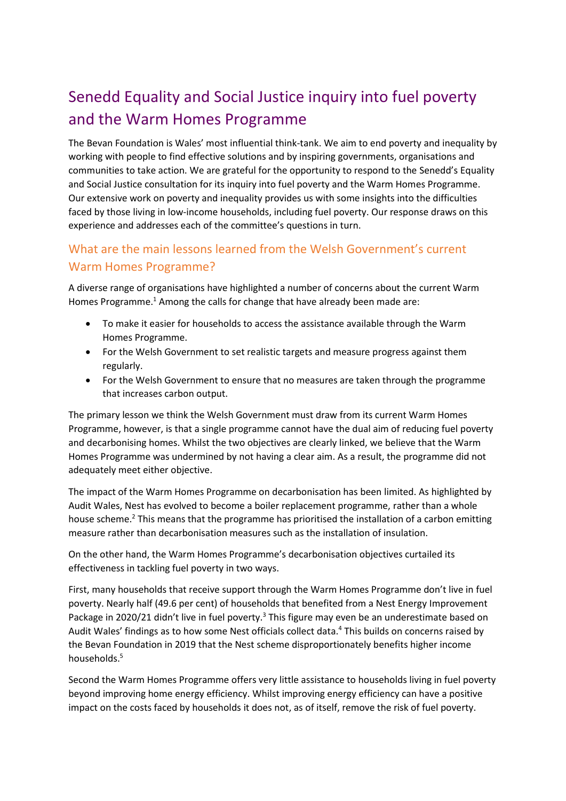# Senedd Equality and Social Justice inquiry into fuel poverty and the Warm Homes Programme

The Bevan Foundation is Wales' most influential think-tank. We aim to end poverty and inequality by working with people to find effective solutions and by inspiring governments, organisations and communities to take action. We are grateful for the opportunity to respond to the Senedd's Equality and Social Justice consultation for its inquiry into fuel poverty and the Warm Homes Programme. Our extensive work on poverty and inequality provides us with some insights into the difficulties faced by those living in low-income households, including fuel poverty. Our response draws on this experience and addresses each of the committee's questions in turn.

# What are the main lessons learned from the Welsh Government's current Warm Homes Programme?

A diverse range of organisations have highlighted a number of concerns about the current Warm Homes Programme.<sup>1</sup> Among the calls for change that have already been made are:

- To make it easier for households to access the assistance available through the Warm Homes Programme.
- For the Welsh Government to set realistic targets and measure progress against them regularly.
- For the Welsh Government to ensure that no measures are taken through the programme that increases carbon output.

The primary lesson we think the Welsh Government must draw from its current Warm Homes Programme, however, is that a single programme cannot have the dual aim of reducing fuel poverty and decarbonising homes. Whilst the two objectives are clearly linked, we believe that the Warm Homes Programme was undermined by not having a clear aim. As a result, the programme did not adequately meet either objective.

The impact of the Warm Homes Programme on decarbonisation has been limited. As highlighted by Audit Wales, Nest has evolved to become a boiler replacement programme, rather than a whole house scheme.<sup>2</sup> This means that the programme has prioritised the installation of a carbon emitting measure rather than decarbonisation measures such as the installation of insulation.

On the other hand, the Warm Homes Programme's decarbonisation objectives curtailed its effectiveness in tackling fuel poverty in two ways.

First, many households that receive support through the Warm Homes Programme don't live in fuel poverty. Nearly half (49.6 per cent) of households that benefited from a Nest Energy Improvement Package in 2020/21 didn't live in fuel poverty.<sup>3</sup> This figure may even be an underestimate based on Audit Wales' findings as to how some Nest officials collect data.<sup>4</sup> This builds on concerns raised by the Bevan Foundation in 2019 that the Nest scheme disproportionately benefits higher income households.<sup>5</sup>

Second the Warm Homes Programme offers very little assistance to households living in fuel poverty beyond improving home energy efficiency. Whilst improving energy efficiency can have a positive impact on the costs faced by households it does not, as of itself, remove the risk of fuel poverty.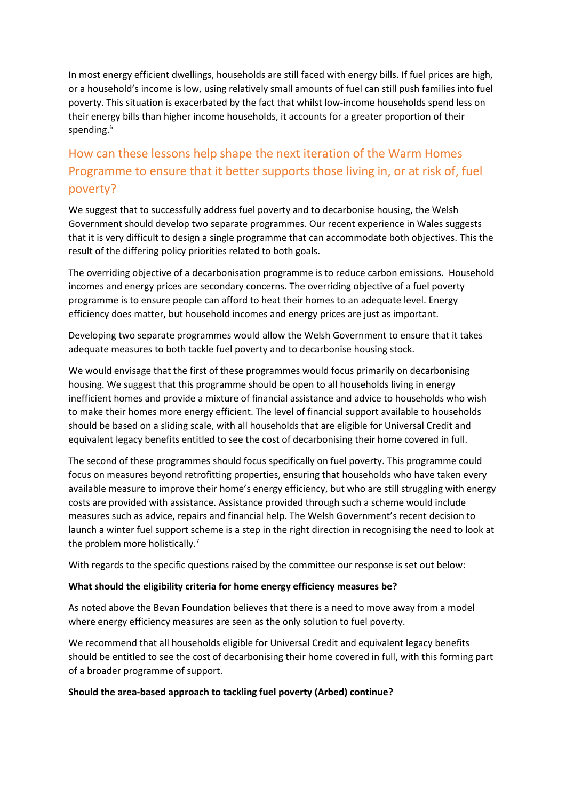In most energy efficient dwellings, households are still faced with energy bills. If fuel prices are high, or a household's income is low, using relatively small amounts of fuel can still push families into fuel poverty. This situation is exacerbated by the fact that whilst low-income households spend less on their energy bills than higher income households, it accounts for a greater proportion of their spending.<sup>6</sup>

# How can these lessons help shape the next iteration of the Warm Homes Programme to ensure that it better supports those living in, or at risk of, fuel poverty?

We suggest that to successfully address fuel poverty and to decarbonise housing, the Welsh Government should develop two separate programmes. Our recent experience in Wales suggests that it is very difficult to design a single programme that can accommodate both objectives. This the result of the differing policy priorities related to both goals.

The overriding objective of a decarbonisation programme is to reduce carbon emissions. Household incomes and energy prices are secondary concerns. The overriding objective of a fuel poverty programme is to ensure people can afford to heat their homes to an adequate level. Energy efficiency does matter, but household incomes and energy prices are just as important.

Developing two separate programmes would allow the Welsh Government to ensure that it takes adequate measures to both tackle fuel poverty and to decarbonise housing stock.

We would envisage that the first of these programmes would focus primarily on decarbonising housing. We suggest that this programme should be open to all households living in energy inefficient homes and provide a mixture of financial assistance and advice to households who wish to make their homes more energy efficient. The level of financial support available to households should be based on a sliding scale, with all households that are eligible for Universal Credit and equivalent legacy benefits entitled to see the cost of decarbonising their home covered in full.

The second of these programmes should focus specifically on fuel poverty. This programme could focus on measures beyond retrofitting properties, ensuring that households who have taken every available measure to improve their home's energy efficiency, but who are still struggling with energy costs are provided with assistance. Assistance provided through such a scheme would include measures such as advice, repairs and financial help. The Welsh Government's recent decision to launch a winter fuel support scheme is a step in the right direction in recognising the need to look at the problem more holistically. $<sup>7</sup>$ </sup>

With regards to the specific questions raised by the committee our response is set out below:

### **What should the eligibility criteria for home energy efficiency measures be?**

As noted above the Bevan Foundation believes that there is a need to move away from a model where energy efficiency measures are seen as the only solution to fuel poverty.

We recommend that all households eligible for Universal Credit and equivalent legacy benefits should be entitled to see the cost of decarbonising their home covered in full, with this forming part of a broader programme of support.

### **Should the area-based approach to tackling fuel poverty (Arbed) continue?**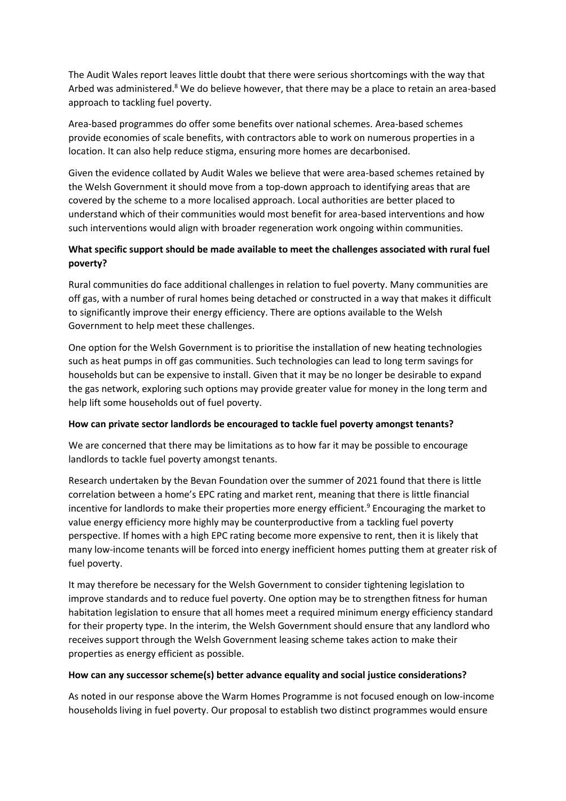The Audit Wales report leaves little doubt that there were serious shortcomings with the way that Arbed was administered.<sup>8</sup> We do believe however, that there may be a place to retain an area-based approach to tackling fuel poverty.

Area-based programmes do offer some benefits over national schemes. Area-based schemes provide economies of scale benefits, with contractors able to work on numerous properties in a location. It can also help reduce stigma, ensuring more homes are decarbonised.

Given the evidence collated by Audit Wales we believe that were area-based schemes retained by the Welsh Government it should move from a top-down approach to identifying areas that are covered by the scheme to a more localised approach. Local authorities are better placed to understand which of their communities would most benefit for area-based interventions and how such interventions would align with broader regeneration work ongoing within communities.

## **What specific support should be made available to meet the challenges associated with rural fuel poverty?**

Rural communities do face additional challenges in relation to fuel poverty. Many communities are off gas, with a number of rural homes being detached or constructed in a way that makes it difficult to significantly improve their energy efficiency. There are options available to the Welsh Government to help meet these challenges.

One option for the Welsh Government is to prioritise the installation of new heating technologies such as heat pumps in off gas communities. Such technologies can lead to long term savings for households but can be expensive to install. Given that it may be no longer be desirable to expand the gas network, exploring such options may provide greater value for money in the long term and help lift some households out of fuel poverty.

### **How can private sector landlords be encouraged to tackle fuel poverty amongst tenants?**

We are concerned that there may be limitations as to how far it may be possible to encourage landlords to tackle fuel poverty amongst tenants.

Research undertaken by the Bevan Foundation over the summer of 2021 found that there is little correlation between a home's EPC rating and market rent, meaning that there is little financial incentive for landlords to make their properties more energy efficient. <sup>9</sup> Encouraging the market to value energy efficiency more highly may be counterproductive from a tackling fuel poverty perspective. If homes with a high EPC rating become more expensive to rent, then it is likely that many low-income tenants will be forced into energy inefficient homes putting them at greater risk of fuel poverty.

It may therefore be necessary for the Welsh Government to consider tightening legislation to improve standards and to reduce fuel poverty. One option may be to strengthen fitness for human habitation legislation to ensure that all homes meet a required minimum energy efficiency standard for their property type. In the interim, the Welsh Government should ensure that any landlord who receives support through the Welsh Government leasing scheme takes action to make their properties as energy efficient as possible.

### **How can any successor scheme(s) better advance equality and social justice considerations?**

As noted in our response above the Warm Homes Programme is not focused enough on low-income households living in fuel poverty. Our proposal to establish two distinct programmes would ensure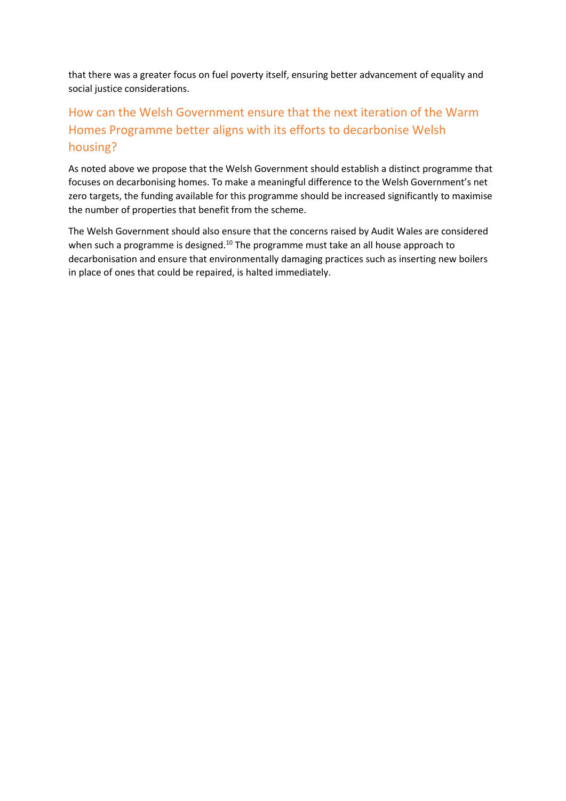that there was a greater focus on fuel poverty itself, ensuring better advancement of equality and social justice considerations.

# How can the Welsh Government ensure that the next iteration of the Warm Homes Programme better aligns with its efforts to decarbonise Welsh housing?

As noted above we propose that the Welsh Government should establish a distinct programme that focuses on decarbonising homes. To make a meaningful difference to the Welsh Government's net zero targets, the funding available for this programme should be increased significantly to maximise the number of properties that benefit from the scheme.

The Welsh Government should also ensure that the concerns raised by Audit Wales are considered when such a programme is designed.<sup>10</sup> The programme must take an all house approach to decarbonisation and ensure that environmentally damaging practices such as inserting new boilers in place of ones that could be repaired, is halted immediately.